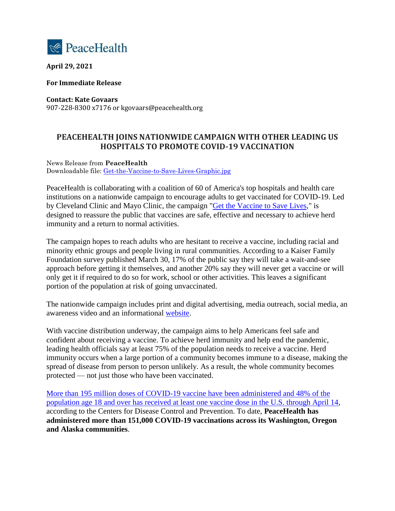

**April 29, 2021**

**For Immediate Release**

**Contact: Kate Govaars** 907-228-8300 x7176 or kgovaars@peacehealth.org

## **PEACEHEALTH JOINS NATIONWIDE CAMPAIGN WITH OTHER LEADING US HOSPITALS TO PROMOTE COVID-19 VACCINATION**

News Release from **PeaceHealth** Downloadable file: [Get-the-Vaccine-to-Save-Lives-Graphic.jpg](https://nam04.safelinks.protection.outlook.com/?url=https%3A%2F%2Fwww.flashalertnewswire.net%2Fimages%2Fnews%2F2021-04%2F5173%2F144544%2FGet-the-Vaccine-to-Save-Lives-Graphic.jpg&data=04%7C01%7Ckgovaars%40peacehealth.org%7Cdafa36f8c54d41b2013408d90aa6217b%7C0c4d6a212cf441979333aa5fadb76709%7C0%7C0%7C637552530928416038%7CUnknown%7CTWFpbGZsb3d8eyJWIjoiMC4wLjAwMDAiLCJQIjoiV2luMzIiLCJBTiI6Ik1haWwiLCJXVCI6Mn0%3D%7C1000&sdata=nWsypSX70qJzY0y8u1MkXsrCcaTtpZvo5GlDOLMuKAw%3D&reserved=0)

PeaceHealth is collaborating with a coalition of 60 of America's top hospitals and health care institutions on a nationwide campaign to encourage adults to get vaccinated for COVID-19. Led by Cleveland Clinic and Mayo Clinic, the campaign ["Get the Vaccine to Save Lives,](https://nam04.safelinks.protection.outlook.com/?url=https%3A%2F%2Fourshot2savelives.org%2F&data=04%7C01%7Ckgovaars%40peacehealth.org%7Cdafa36f8c54d41b2013408d90aa6217b%7C0c4d6a212cf441979333aa5fadb76709%7C0%7C0%7C637552530928416038%7CUnknown%7CTWFpbGZsb3d8eyJWIjoiMC4wLjAwMDAiLCJQIjoiV2luMzIiLCJBTiI6Ik1haWwiLCJXVCI6Mn0%3D%7C1000&sdata=7H%2F2bLqMCshMgSDqyhdIQwiNFmoJ0LUAiKbgdVNbV%2Fo%3D&reserved=0)" is designed to reassure the public that vaccines are safe, effective and necessary to achieve herd immunity and a return to normal activities.

The campaign hopes to reach adults who are hesitant to receive a vaccine, including racial and minority ethnic groups and people living in rural communities. According to a Kaiser Family Foundation survey published March 30, 17% of the public say they will take a wait-and-see approach before getting it themselves, and another 20% say they will never get a vaccine or will only get it if required to do so for work, school or other activities. This leaves a significant portion of the population at risk of going unvaccinated.

The nationwide campaign includes print and digital advertising, media outreach, social media, an awareness video and an informational [website.](https://nam04.safelinks.protection.outlook.com/?url=https%3A%2F%2Fourshot2savelives.org%2F&data=04%7C01%7Ckgovaars%40peacehealth.org%7Cdafa36f8c54d41b2013408d90aa6217b%7C0c4d6a212cf441979333aa5fadb76709%7C0%7C0%7C637552530928426034%7CUnknown%7CTWFpbGZsb3d8eyJWIjoiMC4wLjAwMDAiLCJQIjoiV2luMzIiLCJBTiI6Ik1haWwiLCJXVCI6Mn0%3D%7C1000&sdata=%2Ba1F4xne4nBXLQd4Xl%2B0l1YQHBsdl5RSl16l4GSmggA%3D&reserved=0)

With vaccine distribution underway, the campaign aims to help Americans feel safe and confident about receiving a vaccine. To achieve herd immunity and help end the pandemic, leading health officials say at least 75% of the population needs to receive a vaccine. Herd immunity occurs when a large portion of a community becomes immune to a disease, making the spread of disease from person to person unlikely. As a result, the whole community becomes protected — not just those who have been vaccinated.

[More than 195 million doses of COVID-19 vaccine have been administered and 48% of the](https://nam04.safelinks.protection.outlook.com/?url=https%3A%2F%2Fcovid.cdc.gov%2Fcovid-data-tracker%2F%23vaccinations&data=04%7C01%7Ckgovaars%40peacehealth.org%7Cdafa36f8c54d41b2013408d90aa6217b%7C0c4d6a212cf441979333aa5fadb76709%7C0%7C0%7C637552530928426034%7CUnknown%7CTWFpbGZsb3d8eyJWIjoiMC4wLjAwMDAiLCJQIjoiV2luMzIiLCJBTiI6Ik1haWwiLCJXVCI6Mn0%3D%7C1000&sdata=FUMJek%2BNlYzp19dnvc497f7YqLYSGeSn96665GPd7UA%3D&reserved=0)  [population age 18 and over has received at least one vaccine dose in the U.S. through April 14,](https://nam04.safelinks.protection.outlook.com/?url=https%3A%2F%2Fcovid.cdc.gov%2Fcovid-data-tracker%2F%23vaccinations&data=04%7C01%7Ckgovaars%40peacehealth.org%7Cdafa36f8c54d41b2013408d90aa6217b%7C0c4d6a212cf441979333aa5fadb76709%7C0%7C0%7C637552530928426034%7CUnknown%7CTWFpbGZsb3d8eyJWIjoiMC4wLjAwMDAiLCJQIjoiV2luMzIiLCJBTiI6Ik1haWwiLCJXVCI6Mn0%3D%7C1000&sdata=FUMJek%2BNlYzp19dnvc497f7YqLYSGeSn96665GPd7UA%3D&reserved=0) according to the Centers for Disease Control and Prevention. To date, **PeaceHealth has administered more than 151,000 COVID-19 vaccinations across its Washington, Oregon and Alaska communities**.